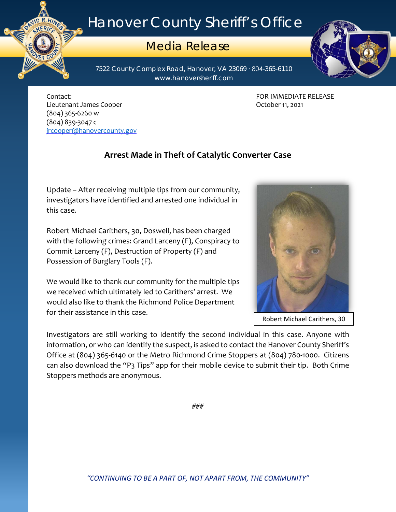## Hanover County Sheriff's Office

## Media Release

7522 County Complex Road, Hanover, VA 23069 ∙ 804-365-6110 www.hanoversheriff.com

Contact: FOR IMMEDIATE RELEASE Lieutenant James Cooper **Communist Cooper** Cooper Communist Cooper 11, 2021 (804) 365-6260 w (804) 839-3047 c [jrcooper@hanovercounty.gov](mailto:jrcooper@hanovercounty.gov)

ER C

## **Arrest Made in Theft of Catalytic Converter Case**

Update – After receiving multiple tips from our community, investigators have identified and arrested one individual in this case.

Robert Michael Carithers, 30, Doswell, has been charged with the following crimes: Grand Larceny (F), Conspiracy to Commit Larceny (F), Destruction of Property (F) and Possession of Burglary Tools (F).

We would like to thank our community for the multiple tips we received which ultimately led to Carithers' arrest. We would also like to thank the Richmond Police Department for their assistance in this case.

Investigators are still working to identify the second individual in this case. Anyone with information, or who can identify the suspect, is asked to contact the Hanover County Sheriff's Office at (804) 365-6140 or the Metro Richmond Crime Stoppers at (804) 780-1000. Citizens can also download the "P3 Tips" app for their mobile device to submit their tip. Both Crime Stoppers methods are anonymous.





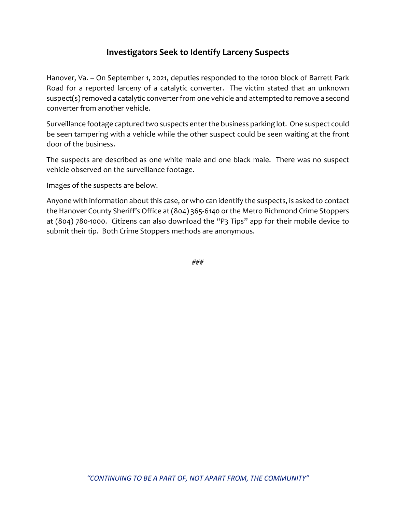## **Investigators Seek to Identify Larceny Suspects**

Hanover, Va. – On September 1, 2021, deputies responded to the 10100 block of Barrett Park Road for a reported larceny of a catalytic converter. The victim stated that an unknown suspect(s) removed a catalytic converter from one vehicle and attempted to remove a second converter from another vehicle.

Surveillance footage captured two suspects enter the business parking lot. One suspect could be seen tampering with a vehicle while the other suspect could be seen waiting at the front door of the business.

The suspects are described as one white male and one black male. There was no suspect vehicle observed on the surveillance footage.

Images of the suspects are below.

Anyone with information about this case, or who can identify the suspects, is asked to contact the Hanover County Sheriff's Office at (804) 365-6140 or the Metro Richmond Crime Stoppers at (804) 780-1000. Citizens can also download the "P3 Tips" app for their mobile device to submit their tip. Both Crime Stoppers methods are anonymous.

###